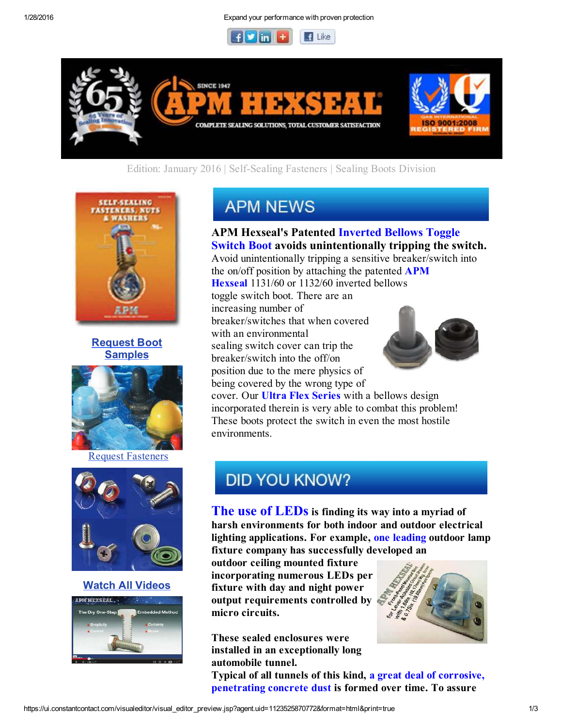1/28/2016 Expand your performance with proven protection





### Edition: January 2016 | Self-Sealing Fasteners | Sealing Boots Division







Request Fasteners



#### Watch All Videos



# **APM NEWS**

APM Hexseal's Patented Inverted Bellows Toggle Switch Boot avoids unintentionally tripping the switch. Avoid unintentionally tripping a sensitive breaker/switch into

the on/off position by attaching the patented  $APM$ Hexseal 1131/60 or 1132/60 inverted bellows toggle switch boot. There are an

increasing number of breaker/switches that when covered with an environmental sealing switch cover can trip the breaker/switch into the off/on position due to the mere physics of being covered by the wrong type of



cover. Our **Ultra Flex Series** with a bellows design incorporated therein is very able to combat this problem! These boots protect the switch in even the most hostile environments.

## **DID YOU KNOW?**

The use of LEDs is finding its way into a myriad of harsh environments for both indoor and outdoor electrical lighting applications. For example, one leading outdoor lamp fixture company has successfully developed an

outdoor ceiling mounted fixture incorporating numerous LEDs per fixture with day and night power output requirements controlled by micro circuits.

These sealed enclosures were installed in an exceptionally long automobile tunnel.

Typical of all tunnels of this kind, a great deal of corrosive, penetrating concrete dust is formed over time. To assure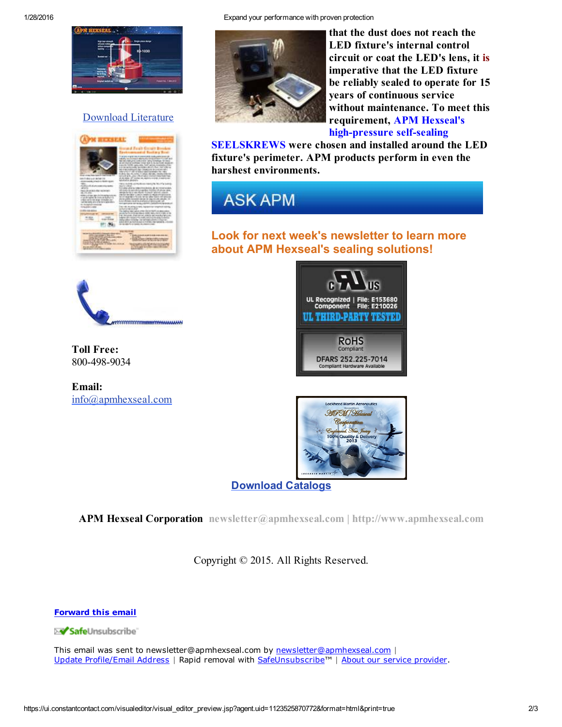

### Download Literature







that the dust does not reach the LED fixture's internal control circuit or coat the LED's lens, it is imperative that the LED fixture be reliably sealed to operate for 15 years of continuous service without maintenance. To meet this requirement, APM Hexseal's high-pressure self-sealing

SEELSKREWS were chosen and installed around the LED fixture's perimeter. APM products perform in even the harshest environments.

## **ASK APM**

### Look for next week's newsletter to learn more about APM Hexseal's sealing solutions!



Toll Free: 800-498-9034

Email: info@apmhexseal.com





Download Catalogs

APM Hexseal Corporation newsletter@apmhexseal.com | http://www.apmhexseal.com

Copyright © 2015. All Rights Reserved.

Forward this email

**XV Safe**Unsubscribe

This email was sent to newsletter@apmhexseal.com by <u>newsletter@apmhexseal.com</u> | Update Profile/Email Address | Rapid removal with <u>SafeUnsubscribe™ | About our service provider</u>.